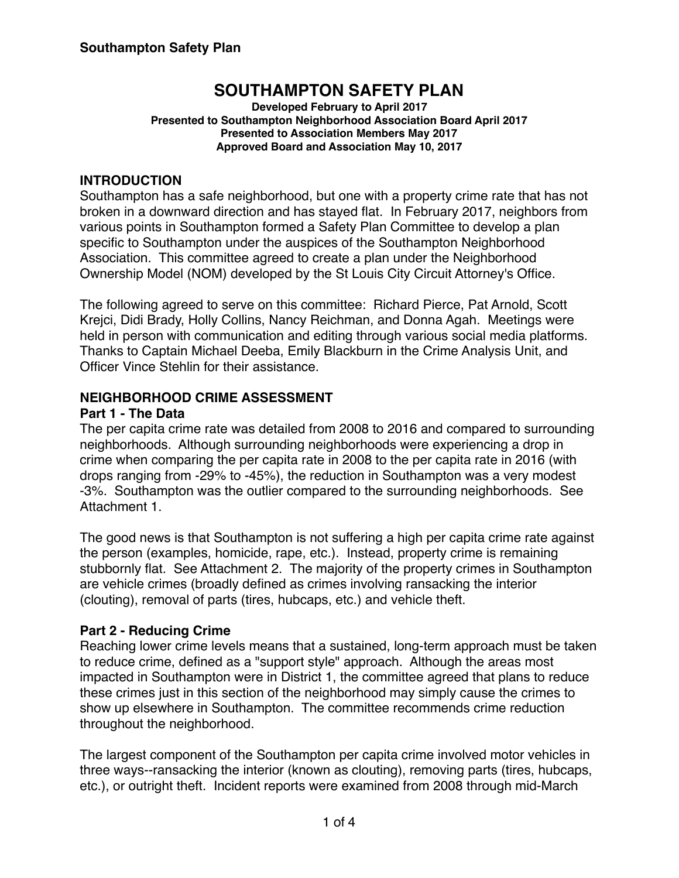# **SOUTHAMPTON SAFETY PLAN**

**Developed February to April 2017 Presented to Southampton Neighborhood Association Board April 2017 Presented to Association Members May 2017 Approved Board and Association May 10, 2017**

#### **INTRODUCTION**

Southampton has a safe neighborhood, but one with a property crime rate that has not broken in a downward direction and has stayed flat. In February 2017, neighbors from various points in Southampton formed a Safety Plan Committee to develop a plan specific to Southampton under the auspices of the Southampton Neighborhood Association. This committee agreed to create a plan under the Neighborhood Ownership Model (NOM) developed by the St Louis City Circuit Attorney's Office.

The following agreed to serve on this committee: Richard Pierce, Pat Arnold, Scott Krejci, Didi Brady, Holly Collins, Nancy Reichman, and Donna Agah. Meetings were held in person with communication and editing through various social media platforms. Thanks to Captain Michael Deeba, Emily Blackburn in the Crime Analysis Unit, and Officer Vince Stehlin for their assistance.

# **NEIGHBORHOOD CRIME ASSESSMENT**

### **Part 1 - The Data**

The per capita crime rate was detailed from 2008 to 2016 and compared to surrounding neighborhoods. Although surrounding neighborhoods were experiencing a drop in crime when comparing the per capita rate in 2008 to the per capita rate in 2016 (with drops ranging from -29% to -45%), the reduction in Southampton was a very modest -3%. Southampton was the outlier compared to the surrounding neighborhoods. See Attachment 1.

The good news is that Southampton is not suffering a high per capita crime rate against the person (examples, homicide, rape, etc.). Instead, property crime is remaining stubbornly flat. See Attachment 2. The majority of the property crimes in Southampton are vehicle crimes (broadly defined as crimes involving ransacking the interior (clouting), removal of parts (tires, hubcaps, etc.) and vehicle theft.

# **Part 2 - Reducing Crime**

Reaching lower crime levels means that a sustained, long-term approach must be taken to reduce crime, defined as a "support style" approach. Although the areas most impacted in Southampton were in District 1, the committee agreed that plans to reduce these crimes just in this section of the neighborhood may simply cause the crimes to show up elsewhere in Southampton. The committee recommends crime reduction throughout the neighborhood.

The largest component of the Southampton per capita crime involved motor vehicles in three ways--ransacking the interior (known as clouting), removing parts (tires, hubcaps, etc.), or outright theft. Incident reports were examined from 2008 through mid-March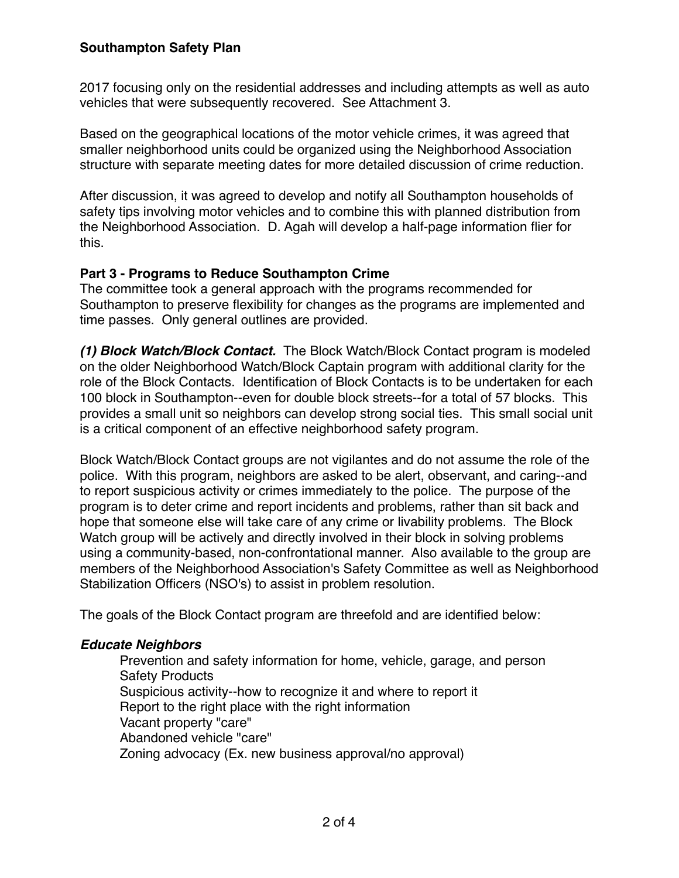### **Southampton Safety Plan**

2017 focusing only on the residential addresses and including attempts as well as auto vehicles that were subsequently recovered. See Attachment 3.

Based on the geographical locations of the motor vehicle crimes, it was agreed that smaller neighborhood units could be organized using the Neighborhood Association structure with separate meeting dates for more detailed discussion of crime reduction.

After discussion, it was agreed to develop and notify all Southampton households of safety tips involving motor vehicles and to combine this with planned distribution from the Neighborhood Association. D. Agah will develop a half-page information flier for this.

### **Part 3 - Programs to Reduce Southampton Crime**

The committee took a general approach with the programs recommended for Southampton to preserve flexibility for changes as the programs are implemented and time passes. Only general outlines are provided.

*(1) Block Watch/Block Contact.* The Block Watch/Block Contact program is modeled on the older Neighborhood Watch/Block Captain program with additional clarity for the role of the Block Contacts. Identification of Block Contacts is to be undertaken for each 100 block in Southampton--even for double block streets--for a total of 57 blocks. This provides a small unit so neighbors can develop strong social ties. This small social unit is a critical component of an effective neighborhood safety program.

Block Watch/Block Contact groups are not vigilantes and do not assume the role of the police. With this program, neighbors are asked to be alert, observant, and caring--and to report suspicious activity or crimes immediately to the police. The purpose of the program is to deter crime and report incidents and problems, rather than sit back and hope that someone else will take care of any crime or livability problems. The Block Watch group will be actively and directly involved in their block in solving problems using a community-based, non-confrontational manner. Also available to the group are members of the Neighborhood Association's Safety Committee as well as Neighborhood Stabilization Officers (NSO's) to assist in problem resolution.

The goals of the Block Contact program are threefold and are identified below:

#### *Educate Neighbors*

Prevention and safety information for home, vehicle, garage, and person Safety Products Suspicious activity--how to recognize it and where to report it Report to the right place with the right information Vacant property "care" Abandoned vehicle "care" Zoning advocacy (Ex. new business approval/no approval)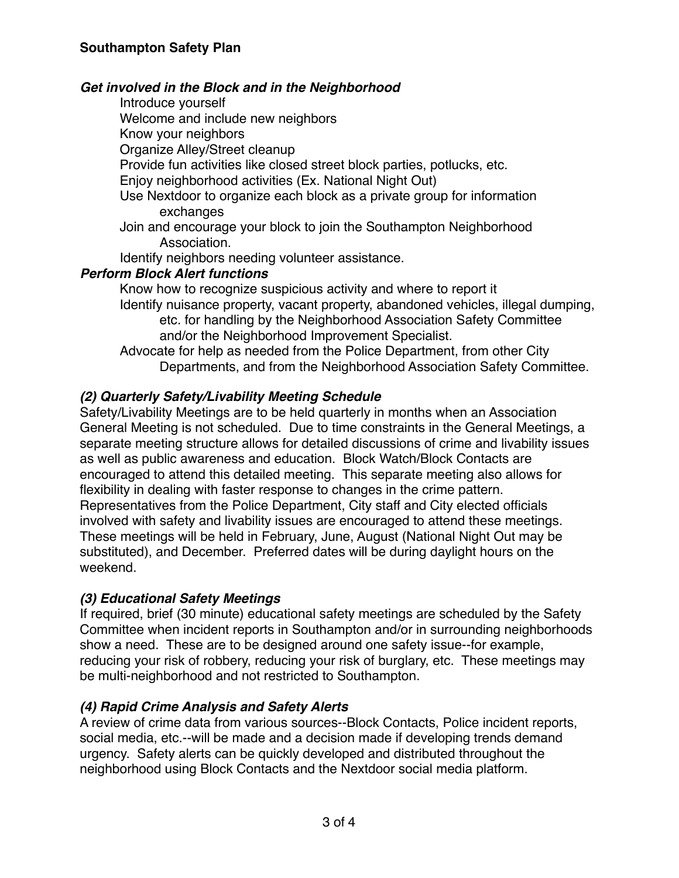# *Get involved in the Block and in the Neighborhood*

Introduce yourself Welcome and include new neighbors Know your neighbors Organize Alley/Street cleanup Provide fun activities like closed street block parties, potlucks, etc. Enjoy neighborhood activities (Ex. National Night Out) Use Nextdoor to organize each block as a private group for information exchanges Join and encourage your block to join the Southampton Neighborhood Association. Identify neighbors needing volunteer assistance. *Perform Block Alert functions*

Know how to recognize suspicious activity and where to report it Identify nuisance property, vacant property, abandoned vehicles, illegal dumping, etc. for handling by the Neighborhood Association Safety Committee and/or the Neighborhood Improvement Specialist.

Advocate for help as needed from the Police Department, from other City Departments, and from the Neighborhood Association Safety Committee.

# *(2) Quarterly Safety/Livability Meeting Schedule*

Safety/Livability Meetings are to be held quarterly in months when an Association General Meeting is not scheduled. Due to time constraints in the General Meetings, a separate meeting structure allows for detailed discussions of crime and livability issues as well as public awareness and education. Block Watch/Block Contacts are encouraged to attend this detailed meeting. This separate meeting also allows for flexibility in dealing with faster response to changes in the crime pattern. Representatives from the Police Department, City staff and City elected officials involved with safety and livability issues are encouraged to attend these meetings. These meetings will be held in February, June, August (National Night Out may be substituted), and December. Preferred dates will be during daylight hours on the weekend.

# *(3) Educational Safety Meetings*

If required, brief (30 minute) educational safety meetings are scheduled by the Safety Committee when incident reports in Southampton and/or in surrounding neighborhoods show a need. These are to be designed around one safety issue--for example, reducing your risk of robbery, reducing your risk of burglary, etc. These meetings may be multi-neighborhood and not restricted to Southampton.

# *(4) Rapid Crime Analysis and Safety Alerts*

A review of crime data from various sources--Block Contacts, Police incident reports, social media, etc.--will be made and a decision made if developing trends demand urgency. Safety alerts can be quickly developed and distributed throughout the neighborhood using Block Contacts and the Nextdoor social media platform.